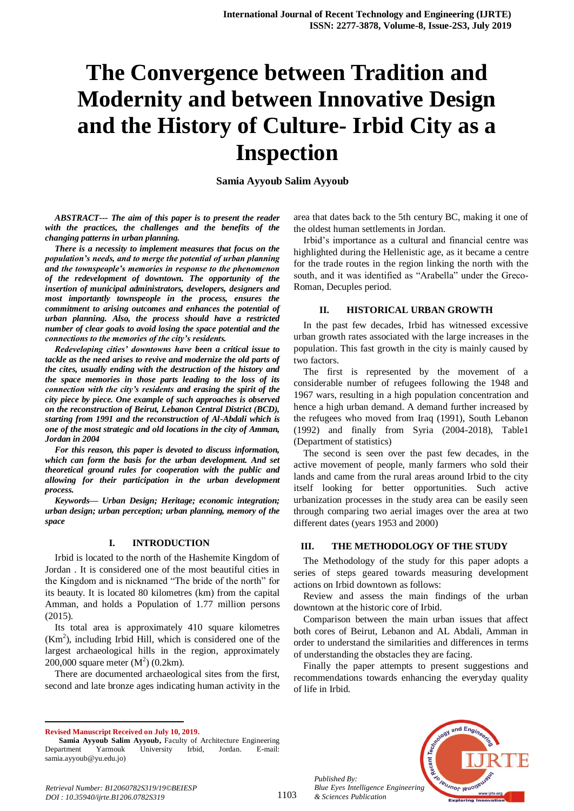# **The Convergence between Tradition and Modernity and between Innovative Design and the History of Culture- Irbid City as a Inspection**

**Samia Ayyoub Salim Ayyoub** 

*ABSTRACT--- The aim of this paper is to present the reader with the practices, the challenges and the benefits of the changing patterns in urban planning.*

*There is a necessity to implement measures that focus on the population's needs, and to merge the potential of urban planning and the townspeople's memories in response to the phenomenon of the redevelopment of downtown. The opportunity of the insertion of municipal administrators, developers, designers and most importantly townspeople in the process, ensures the commitment to arising outcomes and enhances the potential of urban planning. Also, the process should have a restricted number of clear goals to avoid losing the space potential and the connections to the memories of the city's residents.* 

*Redeveloping cities' downtowns have been a critical issue to tackle as the need arises to revive and modernize the old parts of the cites, usually ending with the destruction of the history and the space memories in those parts leading to the loss of its connection with the city's residents and erasing the spirit of the city piece by piece. One example of such approaches is observed on the reconstruction of Beirut, Lebanon Central District (BCD), starting from 1991 and the reconstruction of Al-Abdali which is one of the most strategic and old locations in the city of Amman, Jordan in 2004*

*For this reason, this paper is devoted to discuss information, which can form the basis for the urban development. And set theoretical ground rules for cooperation with the public and allowing for their participation in the urban development process.*

*Keywords— Urban Design; Heritage; economic integration; urban design; urban perception; urban planning, memory of the space*

#### **I. INTRODUCTION**

Irbid is located to the north of the Hashemite Kingdom of Jordan . It is considered one of the most beautiful cities in the Kingdom and is nicknamed "The bride of the north" for its beauty. It is located 80 kilometres (km) from the capital Amman, and holds a Population of 1.77 million persons (2015).

Its total area is approximately 410 square kilometres  $(Km<sup>2</sup>)$ , including Irbid Hill, which is considered one of the largest archaeological hills in the region, approximately 200,000 square meter  $(M^2)$  (0.2km).

There are documented archaeological sites from the first, second and late bronze ages indicating human activity in the area that dates back to the 5th century BC, making it one of the oldest human settlements in Jordan.

Irbid's importance as a cultural and financial centre was highlighted during the Hellenistic age, as it became a centre for the trade routes in the region linking the north with the south, and it was identified as "Arabella" under the Greco-Roman, Decuples period.

#### **II. HISTORICAL URBAN GROWTH**

In the past few decades, Irbid has witnessed excessive urban growth rates associated with the large increases in the population. This fast growth in the city is mainly caused by two factors.

The first is represented by the movement of a considerable number of refugees following the 1948 and 1967 wars, resulting in a high population concentration and hence a high urban demand. A demand further increased by the refugees who moved from Iraq (1991), South Lebanon (1992) and finally from Syria (2004-2018), Table1 (Department of statistics)

The second is seen over the past few decades, in the active movement of people, manly farmers who sold their lands and came from the rural areas around Irbid to the city itself looking for better opportunities. Such active urbanization processes in the study area can be easily seen through comparing two aerial images over the area at two different dates (years 1953 and 2000)

# **III. THE METHODOLOGY OF THE STUDY**

The Methodology of the study for this paper adopts a series of steps geared towards measuring development actions on Irbid downtown as follows:

Review and assess the main findings of the urban downtown at the historic core of Irbid.

Comparison between the main urban issues that affect both cores of Beirut, Lebanon and AL Abdali, Amman in order to understand the similarities and differences in terms of understanding the obstacles they are facing.

Finally the paper attempts to present suggestions and recommendations towards enhancing the everyday quality of life in Irbid.

*Retrieval Number: B12060782S319/19©BEIESP DOI : 10.35940/ijrte.B1206.0782S319*

*Published By:*

*& Sciences Publication* 



 $\overline{a}$ **Revised Manuscript Received on July 10, 2019.**

**Samia Ayyoub Salim Ayyoub,** Faculty of Architecture Engineering Department Yarmouk University Irbid, Jordan. E-mail: samia.ayyoub@yu.edu.jo)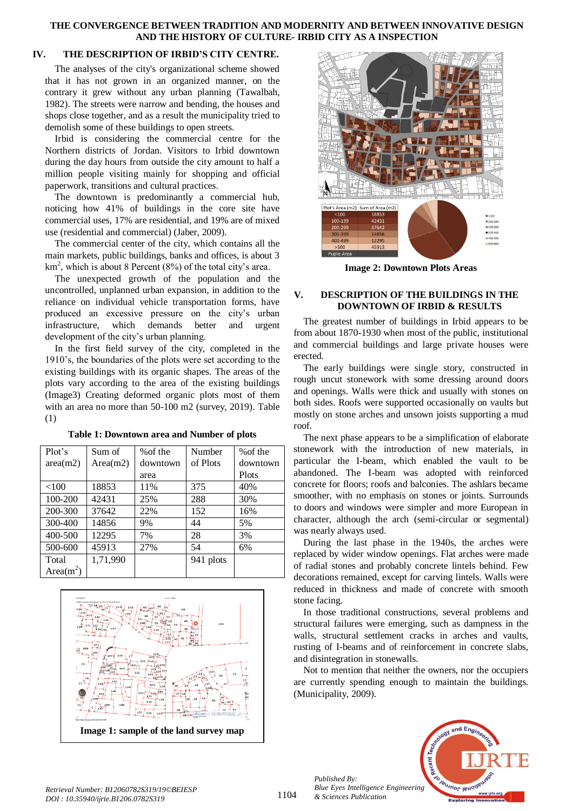## **THE CONVERGENCE BETWEEN TRADITION AND MODERNITY AND BETWEEN INNOVATIVE DESIGN AND THE HISTORY OF CULTURE- IRBID CITY AS A INSPECTION**

# **IV. THE DESCRIPTION OF IRBID'S CITY CENTRE.**

The analyses of the city's organizational scheme showed that it has not grown in an organized manner, on the contrary it grew without any urban planning (Tawalbah, 1982). The streets were narrow and bending, the houses and shops close together, and as a result the municipality tried to demolish some of these buildings to open streets.

Irbid is considering the commercial centre for the Northern districts of Jordan. Visitors to Irbid downtown during the day hours from outside the city amount to half a million people visiting mainly for shopping and official paperwork, transitions and cultural practices.

The downtown is predominantly a commercial hub, noticing how 41% of buildings in the core site have commercial uses, 17% are residential, and 19% are of mixed use (residential and commercial) (Jaber, 2009).

The commercial center of the city, which contains all the main markets, public buildings, banks and offices, is about 3  $km<sup>2</sup>$ , which is about 8 Percent (8%) of the total city's area.

The unexpected growth of the population and the uncontrolled, unplanned urban expansion, in addition to the reliance on individual vehicle transportation forms, have produced an excessive pressure on the city's urban infrastructure, which demands better and urgent development of the city's urban planning.

In the first field survey of the city, completed in the 1910's, the boundaries of the plots were set according to the existing buildings with its organic shapes. The areas of the plots vary according to the area of the existing buildings (Image3) Creating deformed organic plots most of them with an area no more than 50-100 m2 (survey, 2019). Table (1)

| Plot's       | Sum of   | % of the | Number    | % of the |
|--------------|----------|----------|-----------|----------|
| area(m2)     | Area(m2) | downtown | of Plots  | downtown |
|              |          | area     |           | Plots    |
| < 100        | 18853    | 11%      | 375       | 40%      |
| 100-200      | 42431    | 25%      | 288       | 30%      |
| 200-300      | 37642    | 22%      | 152       | 16%      |
| 300-400      | 14856    | 9%       | 44        | 5%       |
| 400-500      | 12295    | 7%       | 28        | 3%       |
| 500-600      | 45913    | 27%      | 54        | 6%       |
| Total        | 1,71,990 |          | 941 plots |          |
| Area $(m^2)$ |          |          |           |          |

**Table 1: Downtown area and Number of plots**





**Image 2: Downtown Plots Areas** 

# **V. DESCRIPTION OF THE BUILDINGS IN THE DOWNTOWN OF IRBID & RESULTS**

The greatest number of buildings in Irbid appears to be from about 1870-1930 when most of the public, institutional and commercial buildings and large private houses were erected.

The early buildings were single story, constructed in rough uncut stonework with some dressing around doors and openings. Walls were thick and usually with stones on both sides. Roofs were supported occasionally on vaults but mostly on stone arches and unsown joists supporting a mud roof.

The next phase appears to be a simplification of elaborate stonework with the introduction of new materials, in particular the I-beam, which enabled the vault to be abandoned. The I-beam was adopted with reinforced concrete for floors; roofs and balconies. The ashlars became smoother, with no emphasis on stones or joints. Surrounds to doors and windows were simpler and more European in character, although the arch (semi-circular or segmental) was nearly always used.

During the last phase in the 1940s, the arches were replaced by wider window openings. Flat arches were made of radial stones and probably concrete lintels behind. Few decorations remained, except for carving lintels. Walls were reduced in thickness and made of concrete with smooth stone facing.

In those traditional constructions, several problems and structural failures were emerging, such as dampness in the walls, structural settlement cracks in arches and vaults, rusting of I-beams and of reinforcement in concrete slabs, and disintegration in stonewalls.

Not to mention that neither the owners, nor the occupiers are currently spending enough to maintain the buildings. (Municipality, 2009).



*Published By:*

*& Sciences Publication*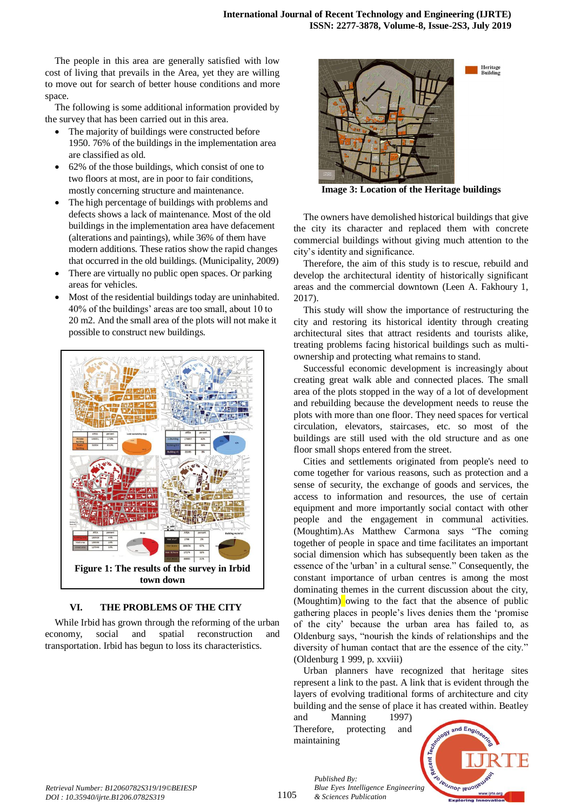The people in this area are generally satisfied with low cost of living that prevails in the Area, yet they are willing to move out for search of better house conditions and more space.

The following is some additional information provided by the survey that has been carried out in this area.

- The majority of buildings were constructed before 1950. 76% of the buildings in the implementation area are classified as old.
- 62% of the those buildings, which consist of one to two floors at most, are in poor to fair conditions, mostly concerning structure and maintenance.
- The high percentage of buildings with problems and defects shows a lack of maintenance. Most of the old buildings in the implementation area have defacement (alterations and paintings), while 36% of them have modern additions. These ratios show the rapid changes that occurred in the old buildings. (Municipality, 2009)
- There are virtually no public open spaces. Or parking areas for vehicles.
- Most of the residential buildings today are uninhabited. 40% of the buildings' areas are too small, about 10 to 20 m2. And the small area of the plots will not make it possible to construct new buildings.



# **VI. THE PROBLEMS OF THE CITY**

While Irbid has grown through the reforming of the urban economy, social and spatial reconstruction and transportation. Irbid has begun to loss its characteristics.



**Image 3: Location of the Heritage buildings**

Heritage<br>Building

The owners have demolished historical buildings that give the city its character and replaced them with concrete commercial buildings without giving much attention to the city's identity and significance.

Therefore, the aim of this study is to rescue, rebuild and develop the architectural identity of historically significant areas and the commercial downtown (Leen A. Fakhoury 1, 2017).

This study will show the importance of restructuring the city and restoring its historical identity through creating architectural sites that attract residents and tourists alike, treating problems facing historical buildings such as multiownership and protecting what remains to stand.

Successful economic development is increasingly about creating great walk able and connected places. The small area of the plots stopped in the way of a lot of development and rebuilding because the development needs to reuse the plots with more than one floor. They need spaces for vertical circulation, elevators, staircases, etc. so most of the buildings are still used with the old structure and as one floor small shops entered from the street.

Cities and settlements originated from people's need to come together for various reasons, such as protection and a sense of security, the exchange of goods and services, the access to information and resources, the use of certain equipment and more importantly social contact with other people and the engagement in communal activities. (Moughtim).As Matthew Carmona says "The coming together of people in space and time facilitates an important social dimension which has subsequently been taken as the essence of the 'urban' in a cultural sense." Consequently, the constant importance of urban centres is among the most dominating themes in the current discussion about the city, (Moughtim) owing to the fact that the absence of public gathering places in people's lives denies them the 'promise of the city' because the urban area has failed to, as Oldenburg says, "nourish the kinds of relationships and the diversity of human contact that are the essence of the city." (Oldenburg 1 999, p. xxviii)

Urban planners have recognized that heritage sites represent a link to the past. A link that is evident through the layers of evolving traditional forms of architecture and city building and the sense of place it has created within. Beatley

and Manning 1997) Therefore, protecting and maintaining

*Published By:*

*& Sciences Publication* 



1105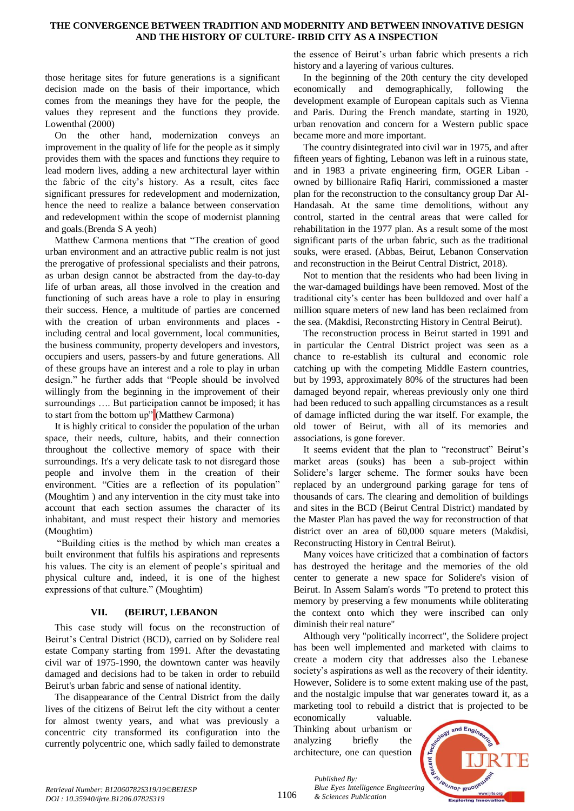### **THE CONVERGENCE BETWEEN TRADITION AND MODERNITY AND BETWEEN INNOVATIVE DESIGN AND THE HISTORY OF CULTURE- IRBID CITY AS A INSPECTION**

those heritage sites for future generations is a significant decision made on the basis of their importance, which comes from the meanings they have for the people, the values they represent and the functions they provide. Lowenthal (2000)

On the other hand, modernization conveys an improvement in the quality of life for the people as it simply provides them with the spaces and functions they require to lead modern lives, adding a new architectural layer within the fabric of the city's history. As a result, cites face significant pressures for redevelopment and modernization, hence the need to realize a balance between conservation and redevelopment within the scope of modernist planning and goals.(Brenda S A yeoh)

Matthew Carmona mentions that "The creation of good urban environment and an attractive public realm is not just the prerogative of professional specialists and their patrons, as urban design cannot be abstracted from the day-to-day life of urban areas, all those involved in the creation and functioning of such areas have a role to play in ensuring their success. Hence, a multitude of parties are concerned with the creation of urban environments and places including central and local government, local communities, the business community, property developers and investors, occupiers and users, passers-by and future generations. All of these groups have an interest and a role to play in urban design." he further adds that "People should be involved willingly from the beginning in the improvement of their surroundings …. But participation cannot be imposed; it has to start from the bottom up" (Matthew Carmona)

It is highly critical to consider the population of the urban space, their needs, culture, habits, and their connection throughout the collective memory of space with their surroundings. It's a very delicate task to not disregard those people and involve them in the creation of their environment. "Cities are a reflection of its population" (Moughtim ) and any intervention in the city must take into account that each section assumes the character of its inhabitant, and must respect their history and memories (Moughtim)

"Building cities is the method by which man creates a built environment that fulfils his aspirations and represents his values. The city is an element of people's spiritual and physical culture and, indeed, it is one of the highest expressions of that culture." (Moughtim)

# **VII. (BEIRUT, LEBANON**

This case study will focus on the reconstruction of Beirut's Central District (BCD), carried on by Solidere real estate Company starting from 1991. After the devastating civil war of 1975-1990, the downtown canter was heavily damaged and decisions had to be taken in order to rebuild Beirut's urban fabric and sense of national identity.

The disappearance of the Central District from the daily lives of the citizens of Beirut left the city without a center for almost twenty years, and what was previously a concentric city transformed its configuration into the currently polycentric one, which sadly failed to demonstrate

the essence of Beirut's urban fabric which presents a rich history and a layering of various cultures.

In the beginning of the 20th century the city developed economically and demographically, following the development example of European capitals such as Vienna and Paris. During the French mandate, starting in 1920, urban renovation and concern for a Western public space became more and more important.

The country disintegrated into civil war in 1975, and after fifteen years of fighting, Lebanon was left in a ruinous state, and in 1983 a private engineering firm, OGER Liban owned by billionaire Rafiq Hariri, commissioned a master plan for the reconstruction to the consultancy group Dar Al-Handasah. At the same time demolitions, without any control, started in the central areas that were called for rehabilitation in the 1977 plan. As a result some of the most significant parts of the urban fabric, such as the traditional souks, were erased. (Abbas, Beirut, Lebanon Conservation and reconstruction in the Beirut Central District, 2018).

Not to mention that the residents who had been living in the war-damaged buildings have been removed. Most of the traditional city's center has been bulldozed and over half a million square meters of new land has been reclaimed from the sea. (Makdisi, Reconstrcting History in Central Beirut).

The reconstruction process in Beirut started in 1991 and in particular the Central District project was seen as a chance to re-establish its cultural and economic role catching up with the competing Middle Eastern countries, but by 1993, approximately 80% of the structures had been damaged beyond repair, whereas previously only one third had been reduced to such appalling circumstances as a result of damage inflicted during the war itself. For example, the old tower of Beirut, with all of its memories and associations, is gone forever.

It seems evident that the plan to "reconstruct" Beirut's market areas (souks) has been a sub-project within Solidere's larger scheme. The former souks have been replaced by an underground parking garage for tens of thousands of cars. The clearing and demolition of buildings and sites in the BCD (Beirut Central District) mandated by the Master Plan has paved the way for reconstruction of that district over an area of 60,000 square meters (Makdisi, Reconstructing History in Central Beirut).

Many voices have criticized that a combination of factors has destroyed the heritage and the memories of the old center to generate a new space for Solidere's vision of Beirut. In Assem Salam's words "To pretend to protect this memory by preserving a few monuments while obliterating the context onto which they were inscribed can only diminish their real nature"

Although very "politically incorrect", the Solidere project has been well implemented and marketed with claims to create a modern city that addresses also the Lebanese society's aspirations as well as the recovery of their identity. However, Solidere is to some extent making use of the past, and the nostalgic impulse that war generates toward it, as a marketing tool to rebuild a district that is projected to be

economically valuable. Thinking about urbanism or analyzing briefly the architecture, one can question



1106

*Published By: Blue Eyes Intelligence Engineering & Sciences Publication*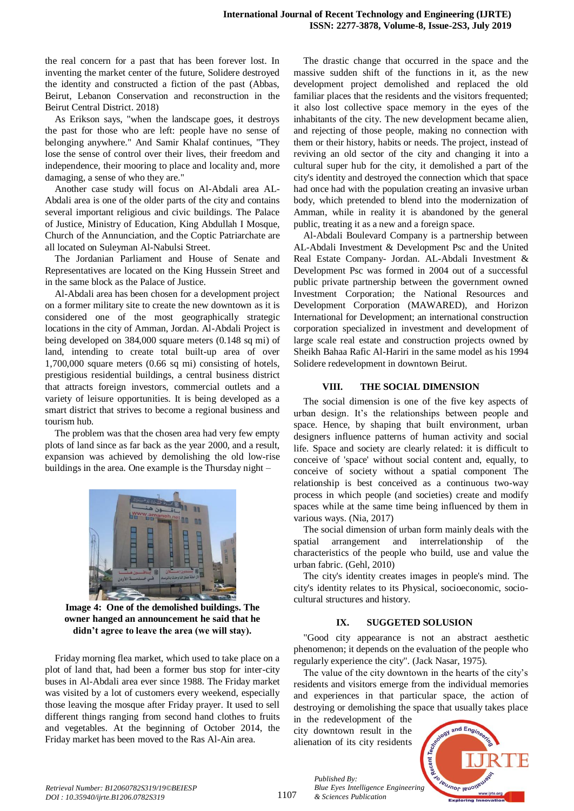the real concern for a past that has been forever lost. In inventing the market center of the future, Solidere destroyed the identity and constructed a fiction of the past (Abbas, Beirut, Lebanon Conservation and reconstruction in the Beirut Central District. 2018)

As Erikson says, "when the landscape goes, it destroys the past for those who are left: people have no sense of belonging anywhere." And Samir Khalaf continues, "They lose the sense of control over their lives, their freedom and independence, their mooring to place and locality and, more damaging, a sense of who they are."

Another case study will focus on Al-Abdali area AL-Abdali area is one of the older parts of the city and contains several important religious and civic buildings. The Palace of Justice, Ministry of Education, King Abdullah I Mosque, Church of the Annunciation, and the Coptic Patriarchate are all located on Suleyman Al-Nabulsi Street.

The Jordanian Parliament and House of Senate and Representatives are located on the King Hussein Street and in the same block as the Palace of Justice.

Al-Abdali area has been chosen for a development project on a former military site to create the new downtown as it is considered one of the most geographically strategic locations in the city of Amman, Jordan. Al-Abdali Project is being developed on 384,000 square meters (0.148 sq mi) of land, intending to create total built-up area of over 1,700,000 square meters (0.66 sq mi) consisting of hotels, prestigious residential buildings, a central business district that attracts foreign investors, commercial outlets and a variety of leisure opportunities. It is being developed as a smart district that strives to become a regional business and tourism hub.

The problem was that the chosen area had very few empty plots of land since as far back as the year 2000, and a result, expansion was achieved by demolishing the old low-rise buildings in the area. One example is the Thursday night –



**Image 4: One of the demolished buildings. The owner hanged an announcement he said that he didn't agree to leave the area (we will stay).**

Friday morning flea market, which used to take place on a plot of land that, had been a former bus stop for inter-city buses in Al-Abdali area ever since 1988. The Friday market was visited by a lot of customers every weekend, especially those leaving the mosque after Friday prayer. It used to sell different things ranging from second hand clothes to fruits and vegetables. At the beginning of October 2014, the Friday market has been moved to the Ras Al-Ain area.

The drastic change that occurred in the space and the massive sudden shift of the functions in it, as the new development project demolished and replaced the old familiar places that the residents and the visitors frequented; it also lost collective space memory in the eyes of the inhabitants of the city. The new development became alien, and rejecting of those people, making no connection with them or their history, habits or needs. The project, instead of reviving an old sector of the city and changing it into a cultural super hub for the city, it demolished a part of the city's identity and destroyed the connection which that space had once had with the population creating an invasive urban body, which pretended to blend into the modernization of Amman, while in reality it is abandoned by the general public, treating it as a new and a foreign space.

Al-Abdali Boulevard Company is a partnership between AL-Abdali Investment & Development Psc and the United Real Estate Company- Jordan. AL-Abdali Investment & Development Psc was formed in 2004 out of a successful public private partnership between the government owned Investment Corporation; the National Resources and Development Corporation (MAWARED), and Horizon International for Development; an international construction corporation specialized in investment and development of large scale real estate and construction projects owned by Sheikh Bahaa Rafic Al-Hariri in the same model as his 1994 Solidere redevelopment in downtown Beirut.

#### **VIII. THE SOCIAL DIMENSION**

The social dimension is one of the five key aspects of urban design. It's the relationships between people and space. Hence, by shaping that built environment, urban designers influence patterns of human activity and social life. Space and society are clearly related: it is difficult to conceive of 'space' without social content and, equally, to conceive of society without a spatial component The relationship is best conceived as a continuous two-way process in which people (and societies) create and modify spaces while at the same time being influenced by them in various ways. (Nia, 2017)

The social dimension of urban form mainly deals with the spatial arrangement and interrelationship of the characteristics of the people who build, use and value the urban fabric. (Gehl, 2010)

The city's identity creates images in people's mind. The city's identity relates to its Physical, socioeconomic, sociocultural structures and history.

# **IX. SUGGETED SOLUSION**

"Good city appearance is not an abstract aesthetic phenomenon; it depends on the evaluation of the people who regularly experience the city". (Jack Nasar, 1975).

The value of the city downtown in the hearts of the city's residents and visitors emerge from the individual memories and experiences in that particular space, the action of destroying or demolishing the space that usually takes place

in the redevelopment of the city downtown result in the alienation of its city residents

*& Sciences Publication* 

*Published By:*



1107